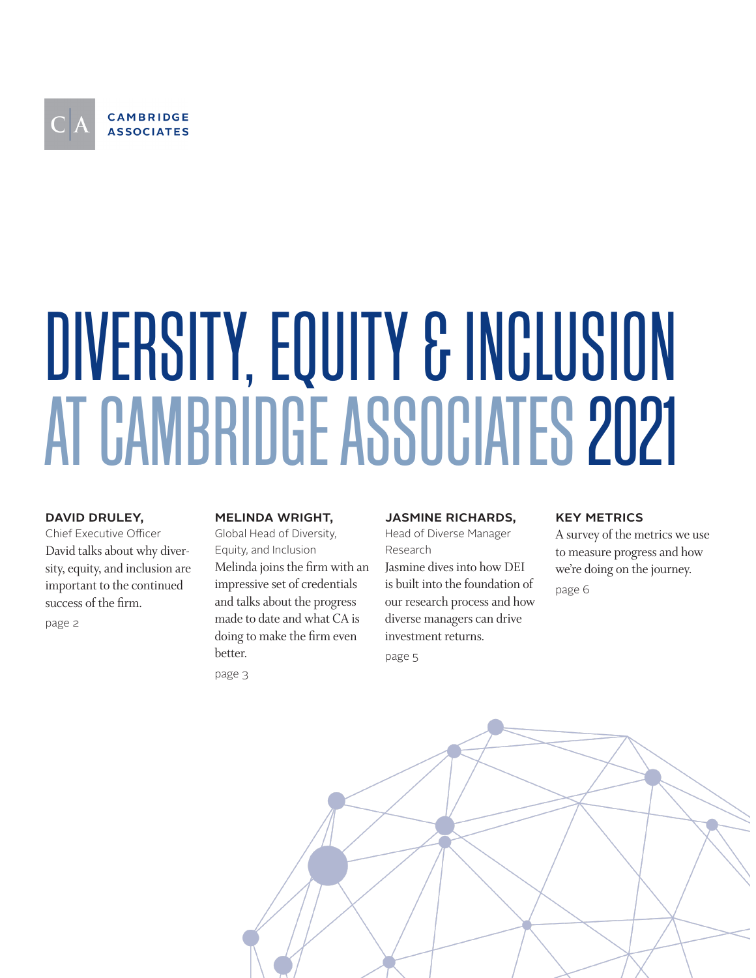

# DIVERSITY, EQUITY & INCLUSION AT CAMBRIDGE ASSOCIATES 2021

# david druley,

Chief Executive Officer David talks about why diversity, equity, and inclusion are important to the continued success of the firm.

page 2

# melinda wright,

Global Head of Diversity, Equity, and Inclusion Melinda joins the firm with an impressive set of credentials and talks about the progress made to date and what CA is doing to make the firm even better. page 3

# jasmine richards,

Head of Diverse Manager Research

Jasmine dives into how DEI is built into the foundation of our research process and how diverse managers can drive investment returns.

page 5

# **KEY METRICS**

A survey of the metrics we use to measure progress and how we're doing on the journey. page 6

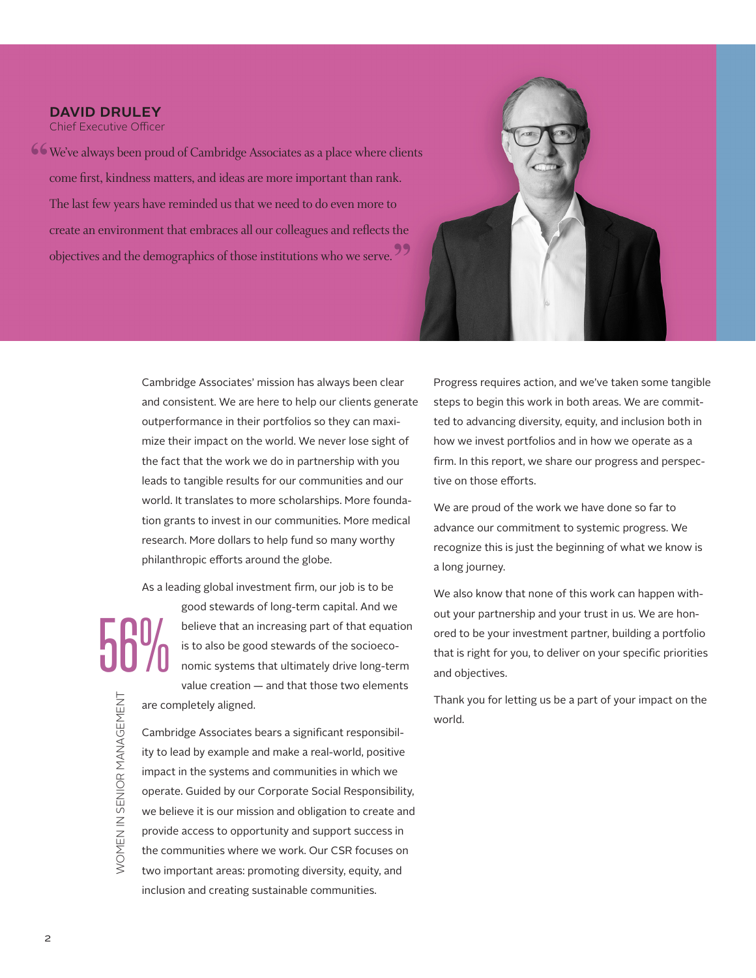# DAVID DRULEY

Chief Executive Officer

We've always been proud of Cambridge Associates as a place where clients **"** come first, kindness matters, and ideas are more important than rank. The last few years have reminded us that we need to do even more to create an environment that embraces all our colleagues and reflects the objectives and the demographics of those institutions who we serve. **"**



Cambridge Associates' mission has always been clear and consistent. We are here to help our clients generate outperformance in their portfolios so they can maximize their impact on the world. We never lose sight of the fact that the work we do in partnership with you leads to tangible results for our communities and our world. It translates to more scholarships. More foundation grants to invest in our communities. More medical research. More dollars to help fund so many worthy philanthropic efforts around the globe.

As a leading global investment firm, our job is to be

56% WOMEN IN SENIOR MANAGEMENT WOMEN IN SENIOR MANAGEMENT

good stewards of long-term capital. And we believe that an increasing part of that equation is to also be good stewards of the socioeconomic systems that ultimately drive long-term value creation — and that those two elements are completely aligned.

Cambridge Associates bears a significant responsibility to lead by example and make a real-world, positive impact in the systems and communities in which we operate. Guided by our Corporate Social Responsibility, we believe it is our mission and obligation to create and provide access to opportunity and support success in the communities where we work. Our CSR focuses on two important areas: promoting diversity, equity, and inclusion and creating sustainable communities.

Progress requires action, and we've taken some tangible steps to begin this work in both areas. We are committed to advancing diversity, equity, and inclusion both in how we invest portfolios and in how we operate as a firm. In this report, we share our progress and perspective on those efforts.

We are proud of the work we have done so far to advance our commitment to systemic progress. We recognize this is just the beginning of what we know is a long journey.

We also know that none of this work can happen without your partnership and your trust in us. We are honored to be your investment partner, building a portfolio that is right for you, to deliver on your specific priorities and objectives.

Thank you for letting us be a part of your impact on the world.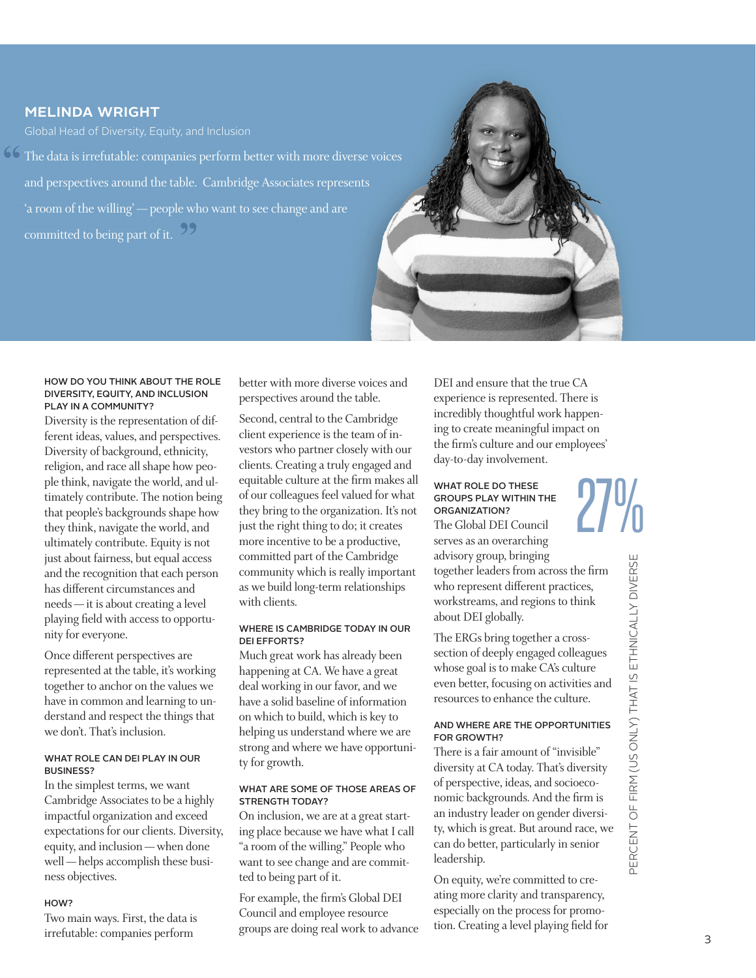# melinda wright

The data is irrefutable: companies perform better with more diverse voices **"** and perspectives around the table. Cambridge Associates represents 'a room of the willing' — people who want to see change and are committed to being part of it. 99



#### HOW DO YOU THINK ABOUT THE ROLE DIVERSITY, EQUITY, AND INCLUSION PLAY IN A COMMUNITY?

Diversity is the representation of different ideas, values, and perspectives. Diversity of background, ethnicity, religion, and race all shape how people think, navigate the world, and ultimately contribute. The notion being that people's backgrounds shape how they think, navigate the world, and ultimately contribute. Equity is not just about fairness, but equal access and the recognition that each person has different circumstances and needs — it is about creating a level playing field with access to opportunity for everyone.

Once different perspectives are represented at the table, it's working together to anchor on the values we have in common and learning to understand and respect the things that we don't. That's inclusion.

#### WHAT ROLE CAN DELPLAY IN OUR BUSINESS?

In the simplest terms, we want Cambridge Associates to be a highly impactful organization and exceed expectations for our clients. Diversity, equity, and inclusion — when done well — helps accomplish these business objectives.

#### HOW?

Two main ways. First, the data is irrefutable: companies perform

better with more diverse voices and perspectives around the table.

Second, central to the Cambridge client experience is the team of investors who partner closely with our clients. Creating a truly engaged and equitable culture at the firm makes all of our colleagues feel valued for what they bring to the organization. It's not just the right thing to do; it creates more incentive to be a productive, committed part of the Cambridge community which is really important as we build long-term relationships with clients.

#### WHERE IS CAMBRIDGE TODAY IN OUR DEI EFFORTS?

Much great work has already been happening at CA. We have a great deal working in our favor, and we have a solid baseline of information on which to build, which is key to helping us understand where we are strong and where we have opportunity for growth.

#### WHAT ARE SOME OF THOSE AREAS OF STRENGTH TODAY?

On inclusion, we are at a great starting place because we have what I call "a room of the willing." People who want to see change and are committed to being part of it.

For example, the firm's Global DEI Council and employee resource groups are doing real work to advance DEI and ensure that the true CA experience is represented. There is incredibly thoughtful work happening to create meaningful impact on the firm's culture and our employees' day-to-day involvement.

# WHAT ROLE DO THESE GROUPS PLAY WITHIN THE ORGANIZATION?

The Global DEI Council serves as an overarching advisory group, bringing together leaders from across the firm who represent different practices, workstreams, and regions to think about DEI globally. 27%

The ERGs bring together a crosssection of deeply engaged colleagues whose goal is to make CA's culture even better, focusing on activities and resources to enhance the culture.

#### AND WHERE ARE THE OPPORTUNITIES FOR GROWTH?

There is a fair amount of "invisible" diversity at CA today. That's diversity of perspective, ideas, and socioeconomic backgrounds. And the firm is an industry leader on gender diversity, which is great. But around race, we can do better, particularly in senior leadership.

On equity, we're committed to creating more clarity and transparency, especially on the process for promotion. Creating a level playing field for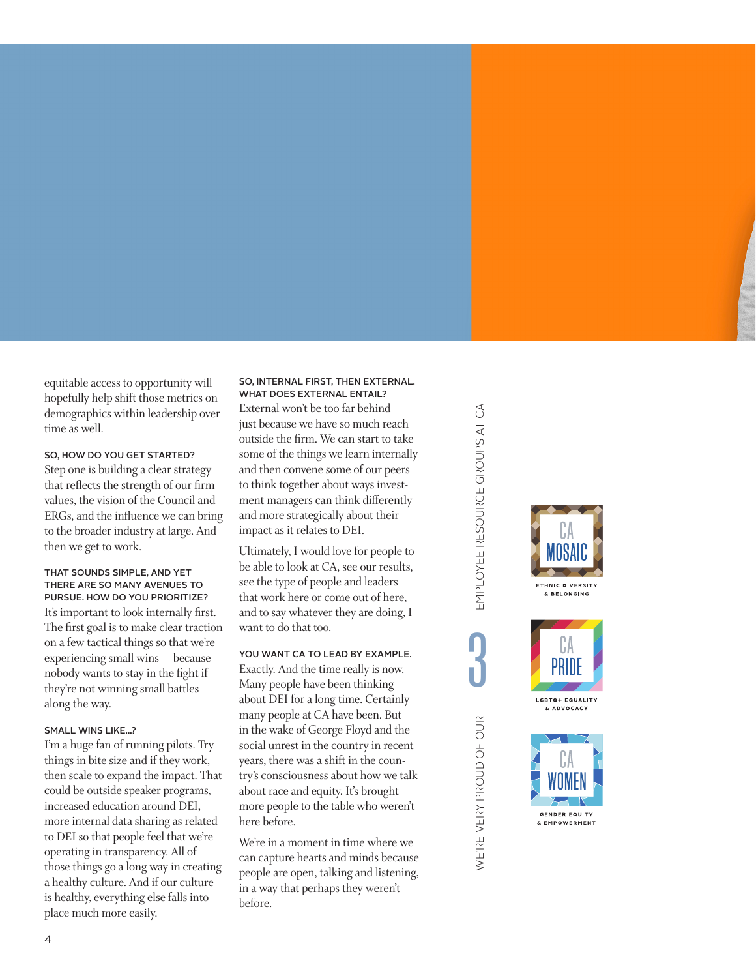equitable access to opportunity will hopefully help shift those metrics on demographics within leadership over time as well.

#### SO, HOW DO YOU GET STARTED?

Step one is building a clear strategy that reflects the strength of our firm values, the vision of the Council and ERGs, and the influence we can bring to the broader industry at large. And then we get to work.

#### THAT SOUNDS SIMPLE, AND YET THERE ARE SO MANY AVENUES TO PURSUE. HOW DO YOU PRIORITIZE?

It's important to look internally first. The first goal is to make clear traction on a few tactical things so that we're experiencing small wins — because nobody wants to stay in the fight if they're not winning small battles along the way.

#### SMALL WINS LIKE...?

I'm a huge fan of running pilots. Try things in bite size and if they work, then scale to expand the impact. That could be outside speaker programs, increased education around DEI, more internal data sharing as related to DEI so that people feel that we're operating in transparency. All of those things go a long way in creating a healthy culture. And if our culture is healthy, everything else falls into place much more easily.

#### SO, INTERNAL FIRST, THEN EXTERNAL. WHAT DOES EXTERNAL ENTAIL?

External won't be too far behind just because we have so much reach outside the firm. We can start to take some of the things we learn internally and then convene some of our peers to think together about ways investment managers can think differently and more strategically about their impact as it relates to DEI.

Ultimately, I would love for people to be able to look at CA, see our results, see the type of people and leaders that work here or come out of here, and to say whatever they are doing, I want to do that too.

# YOU WANT CA TO LEAD BY EXAMPLE.

Exactly. And the time really is now. Many people have been thinking about DEI for a long time. Certainly many people at CA have been. But in the wake of George Floyd and the social unrest in the country in recent years, there was a shift in the country's consciousness about how we talk about race and equity. It's brought more people to the table who weren't here before.

We're in a moment in time where we can capture hearts and minds because people are open, talking and listening, in a way that perhaps they weren't before.

EMPLOYEE RESOURCE GROUPS AT CA WE'RE VERY PROUD OF OUR EMPLOYEE RESOURCE GROUPS AT CA **ո** WE'RE VERY PROUD OF OUR





& ADVOCACY

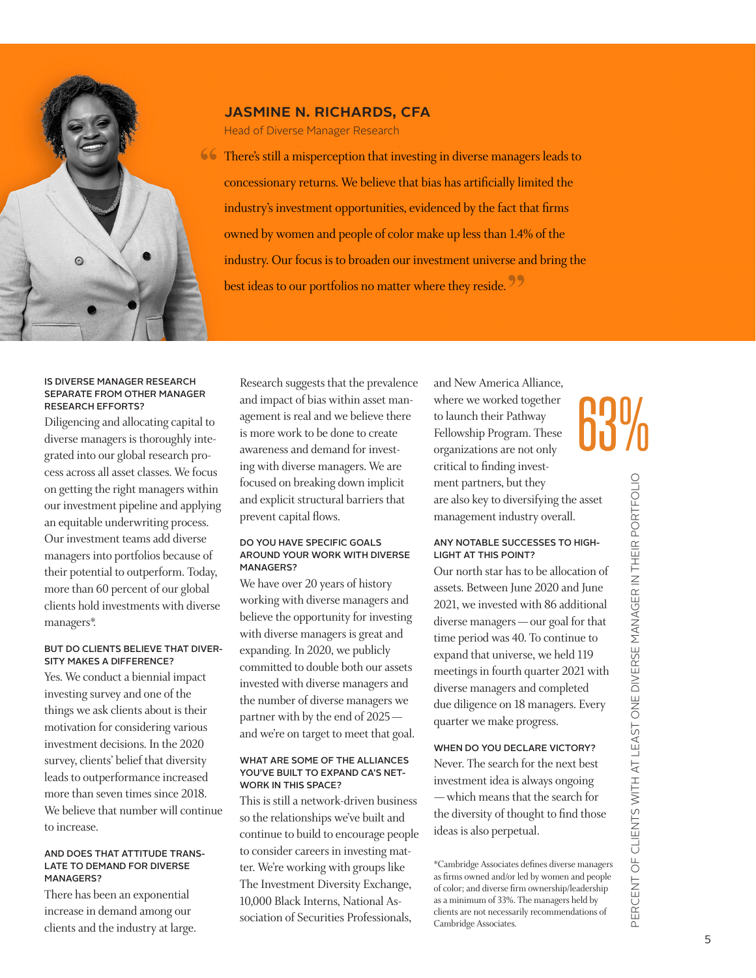

# jasmine n. richards, cfa

Head of Diverse Manager Research

**66** There's still a misperception that investing in diverse managers leads to <br> **CONFIGURER** TO THE MANUSCRIP (SEE ALSO AND THE United the anticoncessionary returns. We believe that bias has artificially limited the industry's investment opportunities, evidenced by the fact that firms owned by women and people of color make up less than 1.4% of the industry. Our focus is to broaden our investment universe and bring the best ideas to our portfolios no matter where they reside.<sup>99</sup>

#### IS DIVERSE MANAGER RESEARCH SEPARATE FROM OTHER MANAGER RESEARCH EFFORTS?

Diligencing and allocating capital to diverse managers is thoroughly integrated into our global research process across all asset classes. We focus on getting the right managers within our investment pipeline and applying an equitable underwriting process. Our investment teams add diverse managers into portfolios because of their potential to outperform. Today, more than 60 percent of our global clients hold investments with diverse managers\*.

#### BUT DO CLIENTS BELIEVE THAT DIVER-SITY MAKES A DIFFERENCE?

Yes. We conduct a biennial impact investing survey and one of the things we ask clients about is their motivation for considering various investment decisions. In the 2020 survey, clients' belief that diversity leads to outperformance increased more than seven times since 2018. We believe that number will continue to increase.

#### AND DOES THAT ATTITUDE TRANS-LATE TO DEMAND FOR DIVERSE MANAGERS?

There has been an exponential increase in demand among our clients and the industry at large.

Research suggests that the prevalence and impact of bias within asset management is real and we believe there is more work to be done to create awareness and demand for investing with diverse managers. We are focused on breaking down implicit and explicit structural barriers that prevent capital flows.

#### DO YOU HAVE SPECIFIC GOALS AROUND YOUR WORK WITH DIVERSE MANAGERS?

We have over 20 years of history working with diverse managers and believe the opportunity for investing with diverse managers is great and expanding. In 2020, we publicly committed to double both our assets invested with diverse managers and the number of diverse managers we partner with by the end of 2025 and we're on target to meet that goal.

#### WHAT ARE SOME OF THE ALLIANCES YOU'VE BUILT TO EXPAND CA'S NET-WORK IN THIS SPACE?

This is still a network-driven business so the relationships we've built and continue to build to encourage people to consider careers in investing matter. We're working with groups like The Investment Diversity Exchange, 10,000 Black Interns, National Association of Securities Professionals,

and New America Alliance, where we worked together to launch their Pathway Fellowship Program. These organizations are not only critical to finding investment partners, but they are also key to diversifying the asset management industry overall. 63%

#### ANY NOTABLE SUCCESSES TO HIGH-LIGHT AT THIS POINT?

Our north star has to be allocation of assets. Between June 2020 and June 2021, we invested with 86 additional diverse managers — our goal for that time period was 40. To continue to expand that universe, we held 119 meetings in fourth quarter 2021 with diverse managers and completed due diligence on 18 managers. Every quarter we make progress.

# WHEN DO YOU DECLARE VICTORY?

Never. The search for the next best investment idea is always ongoing — which means that the search for the diversity of thought to find those ideas is also perpetual.

\*Cambridge Associates defines diverse managers as firms owned and/or led by women and people of color; and diverse firm ownership/leadership as a minimum of 33%. The managers held by clients are not necessarily recommendations of Cambridge Associates.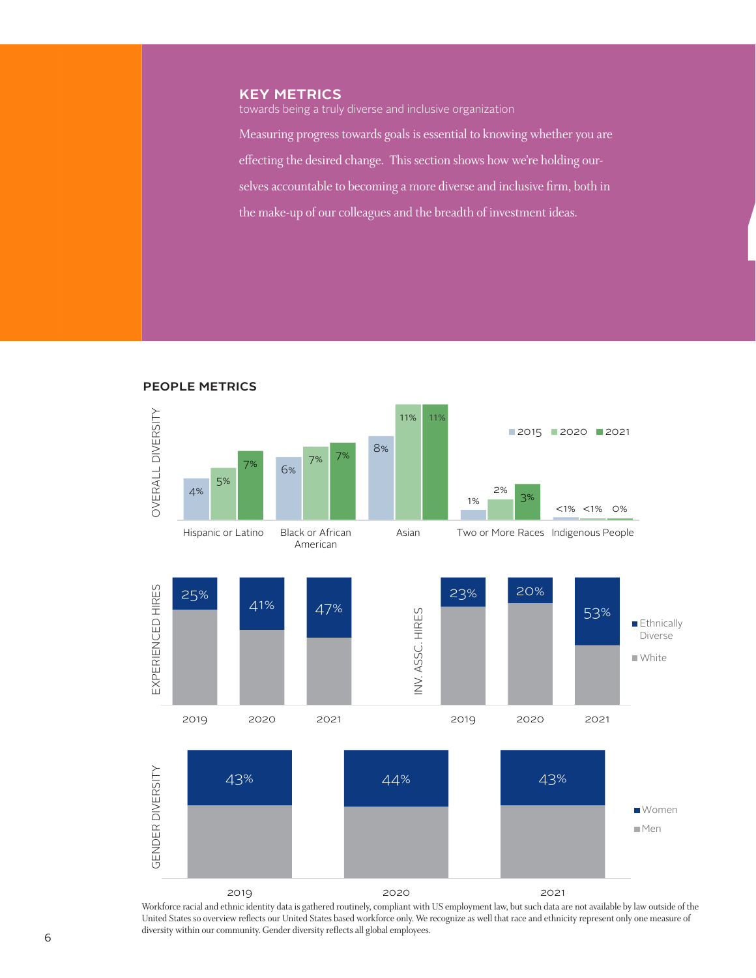# **KEY METRICS**

people metrics

towards being a truly diverse and inclusive organization

Measuring progress towards goals is essential to knowing whether you are effecting the desired change. This section shows how we're holding ourselves accountable to becoming a more diverse and inclusive firm, both in the make-up of our colleagues and the breadth of investment ideas.

 $\overline{a}$ 



Workforce racial and ethnic identity data is gathered routinely, compliant with US employment law, but such data are not available by law outside of the United States so overview reflects our United States based workforce only. We recognize as well that race and ethnicity represent only one measure of diversity within our community. Gender diversity reflects all global employees.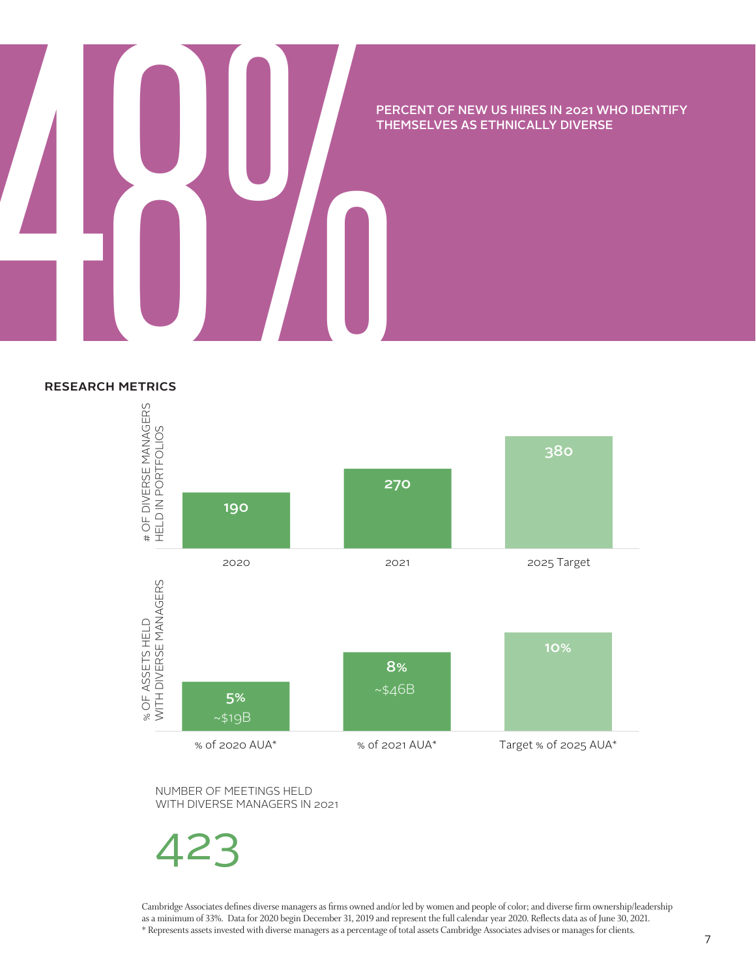# PERCENT OF NEW US HIRES IN 2021 WHO IDENTIFY<br>THEMSELVES AS ETHNICALLY DIVERSE<br>RESEARCH METRICS THEMSELVES AS ETHNICALLY DIVERSE

# research metrics



NUMBER OF MEETINGS HELD WITH DIVERSE MANAGERS IN 2021

423

Cambridge Associates defines diverse managers as firms owned and/or led by women and people of color; and diverse firm ownership/leadership as a minimum of 33%. Data for 2020 begin December 31, 2019 and represent the full calendar year 2020. Reflects data as of June 30, 2021. \* Represents assets invested with diverse managers as a percentage of total assets Cambridge Associates advises or manages for clients.